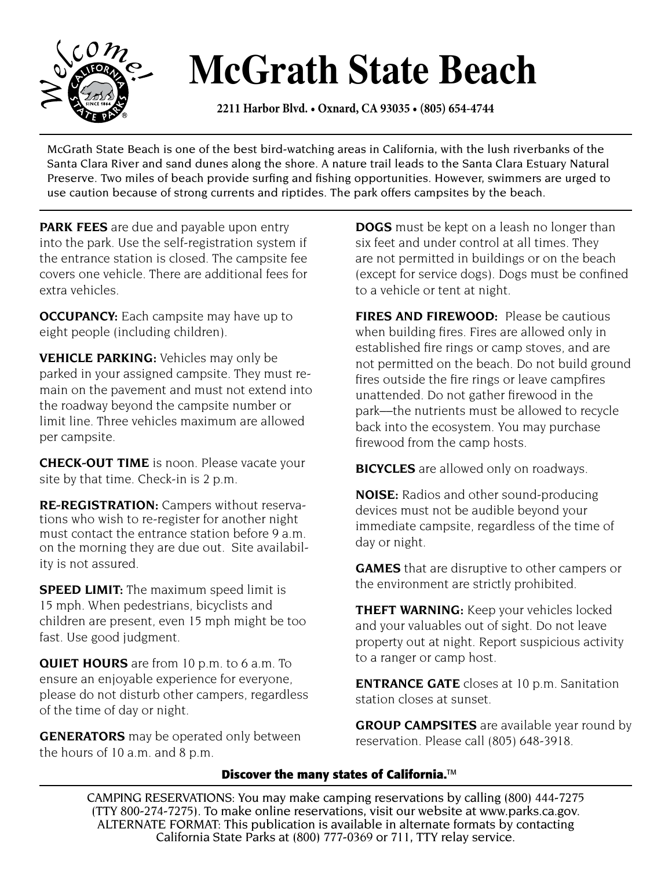

## **McGrath State Beach**

**2211 Harbor Blvd. • Oxnard, CA 93035 • (805) 654-4744** 

McGrath State Beach is one of the best bird-watching areas in California, with the lush riverbanks of the Santa Clara River and sand dunes along the shore. A nature trail leads to the Santa Clara Estuary Natural Preserve. Two miles of beach provide surfing and fishing opportunities. However, swimmers are urged to use caution because of strong currents and riptides. The park offers campsites by the beach.

**PARK FEES** are due and payable upon entry into the park. Use the self-registration system if the entrance station is closed. The campsite fee covers one vehicle. There are additional fees for extra vehicles.

**OCCUPANCY:** Each campsite may have up to eight people (including children).

**VEHICLE PARKING:** Vehicles may only be parked in your assigned campsite. They must remain on the pavement and must not extend into the roadway beyond the campsite number or limit line. Three vehicles maximum are allowed per campsite.

**CHECK-OUT TIME** is noon. Please vacate your site by that time. Check-in is 2 p.m.

**RE-REGISTRATION:** Campers without reservations who wish to re-register for another night must contact the entrance station before 9 a.m. on the morning they are due out. Site availability is not assured.

**SPEED LIMIT:** The maximum speed limit is 15 mph. When pedestrians, bicyclists and children are present, even 15 mph might be too fast. Use good judgment.

**QUIET HOURS** are from 10 p.m. to 6 a.m. To ensure an enjoyable experience for everyone, please do not disturb other campers, regardless of the time of day or night.

**GENERATORS** may be operated only between the hours of 10 a.m. and 8 p.m.

**DOGS** must be kept on a leash no longer than six feet and under control at all times. They are not permitted in buildings or on the beach (except for service dogs). Dogs must be confined to a vehicle or tent at night.

**FIRES AND FIREWOOD:** Please be cautious when building fires. Fires are allowed only in established fire rings or camp stoves, and are not permitted on the beach. Do not build ground fires outside the fire rings or leave campfires unattended. Do not gather firewood in the park––the nutrients must be allowed to recycle back into the ecosystem. You may purchase firewood from the camp hosts.

**BICYCLES** are allowed only on roadways.

**NOISE:** Radios and other sound-producing devices must not be audible beyond your immediate campsite, regardless of the time of day or night.

**GAMES** that are disruptive to other campers or the environment are strictly prohibited.

**THEFT WARNING:** Keep your vehicles locked and your valuables out of sight. Do not leave property out at night. Report suspicious activity to a ranger or camp host.

**ENTRANCE GATE** closes at 10 p.m. Sanitation station closes at sunset.

**GROUP CAMPSITES** are available year round by reservation. Please call (805) 648-3918.

## **Discover the many states of California.**™

 CAMPING RESERVATIONS: You may make camping reservations by calling (800) 444-7275 (TTY 800-274-7275). To make online reservations, visit our website at www.parks.ca.gov.<br>ALTERNATE FORMAT: This publication is available in alternate formats by contacting California State Parks at (800) 777-0369 or 711, TTY relay service.